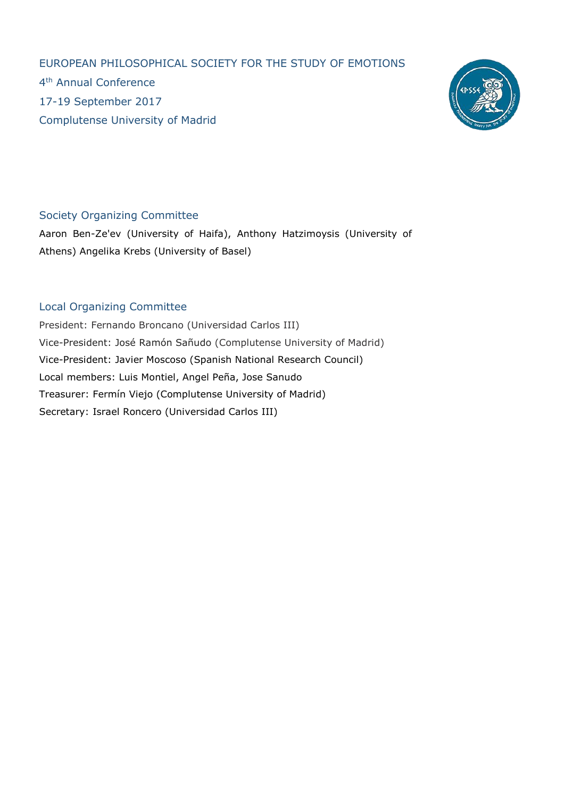EUROPEAN PHILOSOPHICAL SOCIETY FOR THE STUDY OF EMOTIONS 4 th Annual Conference 17-19 September 2017 Complutense University of Madrid



## Society Organizing Committee

Aaron Ben-Ze'ev (University of Haifa), Anthony Hatzimoysis (University of Athens) Angelika Krebs (University of Basel)

## Local Organizing Committee

President: Fernando Broncano (Universidad Carlos III) Vice-President: José Ramón Sañudo (Complutense University of Madrid) Vice-President: Javier Moscoso (Spanish National Research Council) Local members: Luis Montiel, Angel Peña, Jose Sanudo Treasurer: Fermín Viejo (Complutense University of Madrid) Secretary: Israel Roncero (Universidad Carlos III)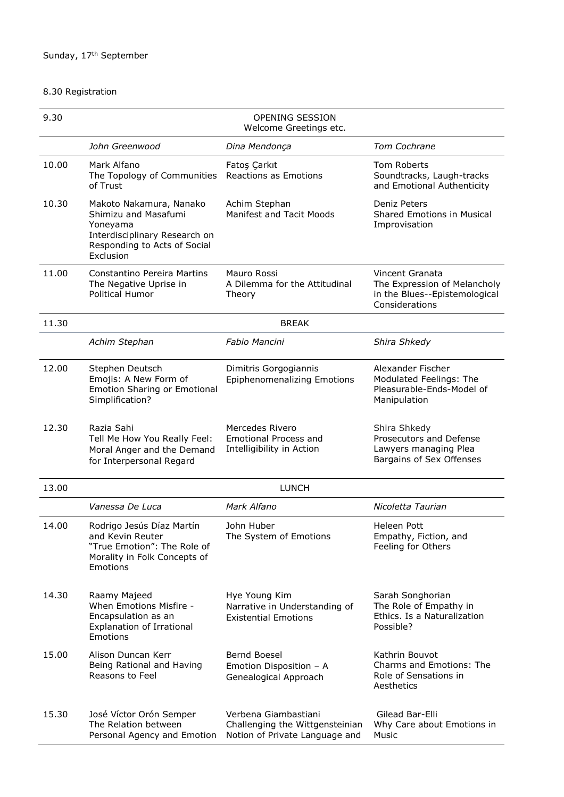## 8.30 Registration

| 9.30  | <b>OPENING SESSION</b><br>Welcome Greetings etc.                                                                                          |                                                                                           |                                                                                                    |
|-------|-------------------------------------------------------------------------------------------------------------------------------------------|-------------------------------------------------------------------------------------------|----------------------------------------------------------------------------------------------------|
|       | John Greenwood                                                                                                                            | Dina Mendonça                                                                             | Tom Cochrane                                                                                       |
| 10.00 | Mark Alfano<br>The Topology of Communities<br>of Trust                                                                                    | Fatoş Çarkıt<br><b>Reactions as Emotions</b>                                              | Tom Roberts<br>Soundtracks, Laugh-tracks<br>and Emotional Authenticity                             |
| 10.30 | Makoto Nakamura, Nanako<br>Shimizu and Masafumi<br>Yoneyama<br>Interdisciplinary Research on<br>Responding to Acts of Social<br>Exclusion | Achim Stephan<br><b>Manifest and Tacit Moods</b>                                          | Deniz Peters<br><b>Shared Emotions in Musical</b><br>Improvisation                                 |
| 11.00 | <b>Constantino Pereira Martins</b><br>The Negative Uprise in<br>Political Humor                                                           | Mauro Rossi<br>A Dilemma for the Attitudinal<br>Theory                                    | Vincent Granata<br>The Expression of Melancholy<br>in the Blues--Epistemological<br>Considerations |
| 11.30 |                                                                                                                                           | <b>BREAK</b>                                                                              |                                                                                                    |
|       | Achim Stephan                                                                                                                             | Fabio Mancini                                                                             | Shira Shkedy                                                                                       |
| 12.00 | Stephen Deutsch<br>Emojis: A New Form of<br><b>Emotion Sharing or Emotional</b><br>Simplification?                                        | Dimitris Gorgogiannis<br>Epiphenomenalizing Emotions                                      | Alexander Fischer<br>Modulated Feelings: The<br>Pleasurable-Ends-Model of<br>Manipulation          |
| 12.30 | Razia Sahi<br>Tell Me How You Really Feel:<br>Moral Anger and the Demand<br>for Interpersonal Regard                                      | Mercedes Rivero<br><b>Emotional Process and</b><br>Intelligibility in Action              | Shira Shkedy<br>Prosecutors and Defense<br>Lawyers managing Plea<br>Bargains of Sex Offenses       |
| 13.00 |                                                                                                                                           | <b>LUNCH</b>                                                                              |                                                                                                    |
|       | Vanessa De Luca                                                                                                                           | Mark Alfano                                                                               | Nicoletta Taurian                                                                                  |
| 14.00 | Rodrigo Jesús Díaz Martín<br>and Kevin Reuter<br>"True Emotion": The Role of<br>Morality in Folk Concepts of<br>Emotions                  | John Huber<br>The System of Emotions                                                      | <b>Heleen Pott</b><br>Empathy, Fiction, and<br>Feeling for Others                                  |
| 14.30 | Raamy Majeed<br>When Emotions Misfire -<br>Encapsulation as an<br><b>Explanation of Irrational</b><br>Emotions                            | Hye Young Kim<br>Narrative in Understanding of<br><b>Existential Emotions</b>             | Sarah Songhorian<br>The Role of Empathy in<br>Ethics. Is a Naturalization<br>Possible?             |
| 15.00 | Alison Duncan Kerr<br>Being Rational and Having<br>Reasons to Feel                                                                        | Bernd Boesel<br>Emotion Disposition - A<br>Genealogical Approach                          | Kathrin Bouvot<br>Charms and Emotions: The<br>Role of Sensations in<br>Aesthetics                  |
| 15.30 | José Víctor Orón Semper<br>The Relation between<br>Personal Agency and Emotion                                                            | Verbena Giambastiani<br>Challenging the Wittgensteinian<br>Notion of Private Language and | Gilead Bar-Elli<br>Why Care about Emotions in<br>Music                                             |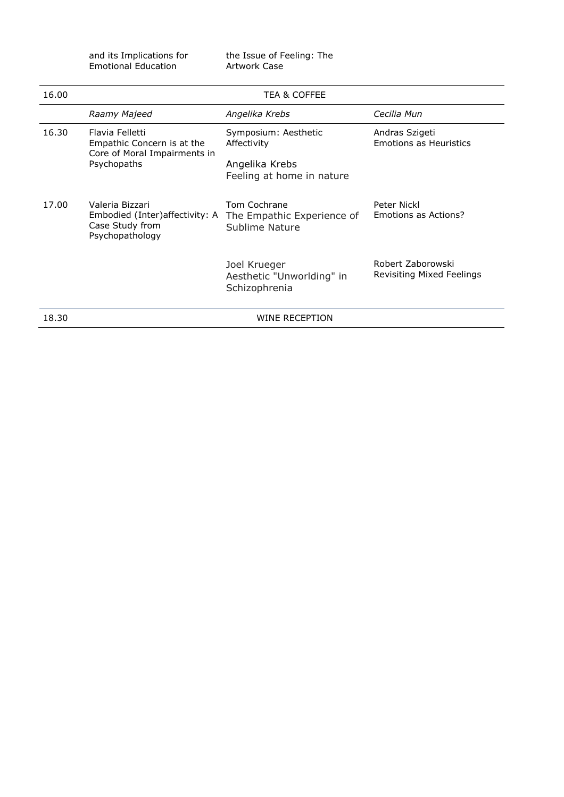| and its Implications for | tŀ |
|--------------------------|----|
| Emotional Education      | А  |

the Issue of Feeling: The Artwork Case

| 16.00 | TEA & COFFEE                                                                                 |                                                                                    |                                                 |
|-------|----------------------------------------------------------------------------------------------|------------------------------------------------------------------------------------|-------------------------------------------------|
|       | Raamy Majeed                                                                                 | Angelika Krebs                                                                     | Cecilia Mun                                     |
| 16.30 | Flavia Felletti<br>Empathic Concern is at the<br>Core of Moral Impairments in<br>Psychopaths | Symposium: Aesthetic<br>Affectivity<br>Angelika Krebs<br>Feeling at home in nature | Andras Szigeti<br><b>Emotions as Heuristics</b> |
| 17.00 | Valeria Bizzari<br>Embodied (Inter) affectivity: A<br>Case Study from<br>Psychopathology     | Tom Cochrane<br>The Empathic Experience of<br>Sublime Nature                       | Peter Nickl<br>Emotions as Actions?             |
|       |                                                                                              | Joel Krueger<br>Aesthetic "Unworlding" in<br>Schizophrenia                         | Robert Zaborowski<br>Revisiting Mixed Feelings  |
| 18.30 |                                                                                              | WINE RECEPTION                                                                     |                                                 |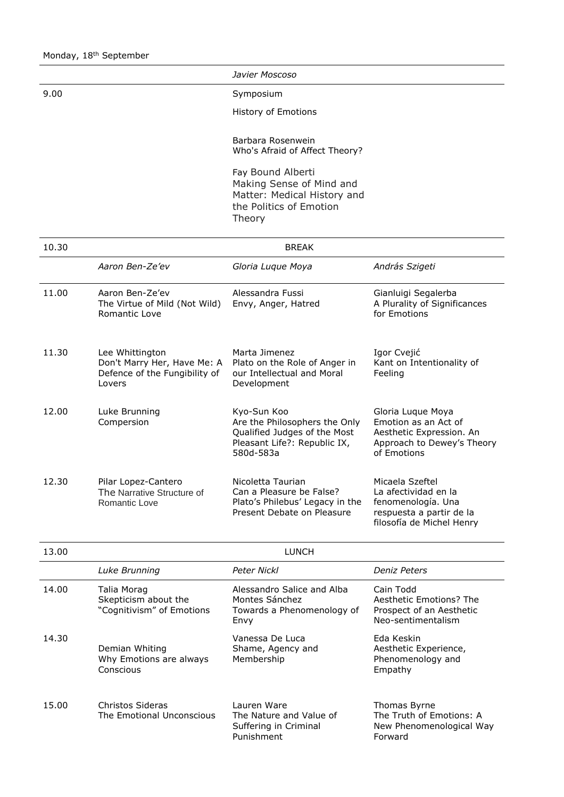*Javier Moscoso*

9.00 Symposium

History of Emotions

Barbara Rosenwein Who's Afraid of Affect Theory?

Fay Bound Alberti Making Sense of Mind and Matter: Medical History and the Politics of Emotion Theory

| 10.30 | <b>BREAK</b>                                                                              |                                                                                                                           |                                                                                                                        |
|-------|-------------------------------------------------------------------------------------------|---------------------------------------------------------------------------------------------------------------------------|------------------------------------------------------------------------------------------------------------------------|
|       | Aaron Ben-Ze'ev                                                                           | Gloria Luque Moya                                                                                                         | András Szigeti                                                                                                         |
| 11.00 | Aaron Ben-Ze'ev<br>The Virtue of Mild (Not Wild)<br>Romantic Love                         | Alessandra Fussi<br>Envy, Anger, Hatred                                                                                   | Gianluigi Segalerba<br>A Plurality of Significances<br>for Emotions                                                    |
| 11.30 | Lee Whittington<br>Don't Marry Her, Have Me: A<br>Defence of the Fungibility of<br>Lovers | Marta Jimenez<br>Plato on the Role of Anger in<br>our Intellectual and Moral<br>Development                               | Igor Cvejić<br>Kant on Intentionality of<br>Feeling                                                                    |
| 12.00 | Luke Brunning<br>Compersion                                                               | Kyo-Sun Koo<br>Are the Philosophers the Only<br>Qualified Judges of the Most<br>Pleasant Life?: Republic IX,<br>580d-583a | Gloria Luque Moya<br>Emotion as an Act of<br>Aesthetic Expression. An<br>Approach to Dewey's Theory<br>of Emotions     |
| 12.30 | Pilar Lopez-Cantero<br>The Narrative Structure of<br>Romantic Love                        | Nicoletta Taurian<br>Can a Pleasure be False?<br>Plato's Philebus' Legacy in the<br>Present Debate on Pleasure            | Micaela Szeftel<br>La afectividad en la<br>fenomenología. Una<br>respuesta a partir de la<br>filosofía de Michel Henry |

| 13.00 | <b>LUNCH</b>                                                     |                                                                                    |                                                                                        |
|-------|------------------------------------------------------------------|------------------------------------------------------------------------------------|----------------------------------------------------------------------------------------|
|       | Luke Brunning                                                    | Peter Nickl                                                                        | Deniz Peters                                                                           |
| 14.00 | Talia Morag<br>Skepticism about the<br>"Cognitivism" of Emotions | Alessandro Salice and Alba<br>Montes Sánchez<br>Towards a Phenomenology of<br>Envy | Cain Todd<br>Aesthetic Emotions? The<br>Prospect of an Aesthetic<br>Neo-sentimentalism |
| 14.30 | Demian Whiting<br>Why Emotions are always<br>Conscious           | Vanessa De Luca<br>Shame, Agency and<br>Membership                                 | Eda Keskin<br>Aesthetic Experience,<br>Phenomenology and<br>Empathy                    |
| 15.00 | Christos Sideras<br>The Emotional Unconscious                    | Lauren Ware<br>The Nature and Value of<br>Suffering in Criminal<br>Punishment      | Thomas Byrne<br>The Truth of Emotions: A<br>New Phenomenological Way<br>Forward        |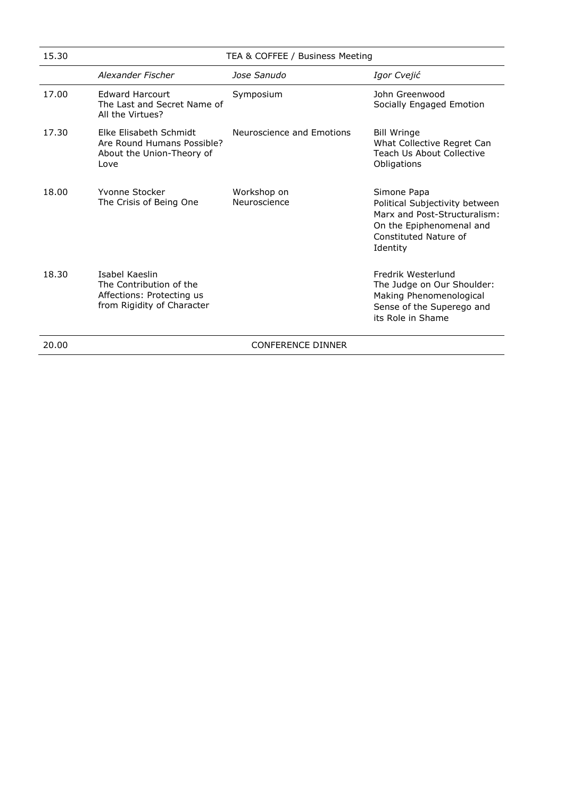| 15.30 | TEA & COFFEE / Business Meeting                                                                      |                             |                                                                                                                                                |
|-------|------------------------------------------------------------------------------------------------------|-----------------------------|------------------------------------------------------------------------------------------------------------------------------------------------|
|       | Alexander Fischer                                                                                    | Jose Sanudo                 | Igor Cvejić                                                                                                                                    |
| 17.00 | <b>Edward Harcourt</b><br>The Last and Secret Name of<br>All the Virtues?                            | Symposium                   | John Greenwood<br>Socially Engaged Emotion                                                                                                     |
| 17.30 | Elke Elisabeth Schmidt<br>Are Round Humans Possible?<br>About the Union-Theory of<br>Love            | Neuroscience and Emotions   | <b>Bill Wringe</b><br>What Collective Regret Can<br>Teach Us About Collective<br>Obligations                                                   |
| 18.00 | Yvonne Stocker<br>The Crisis of Being One                                                            | Workshop on<br>Neuroscience | Simone Papa<br>Political Subjectivity between<br>Marx and Post-Structuralism:<br>On the Epiphenomenal and<br>Constituted Nature of<br>Identity |
| 18.30 | Isabel Kaeslin<br>The Contribution of the<br>Affections: Protecting us<br>from Rigidity of Character |                             | Fredrik Westerlund<br>The Judge on Our Shoulder:<br>Making Phenomenological<br>Sense of the Superego and<br>its Role in Shame                  |
| 20.00 |                                                                                                      | <b>CONFERENCE DINNER</b>    |                                                                                                                                                |